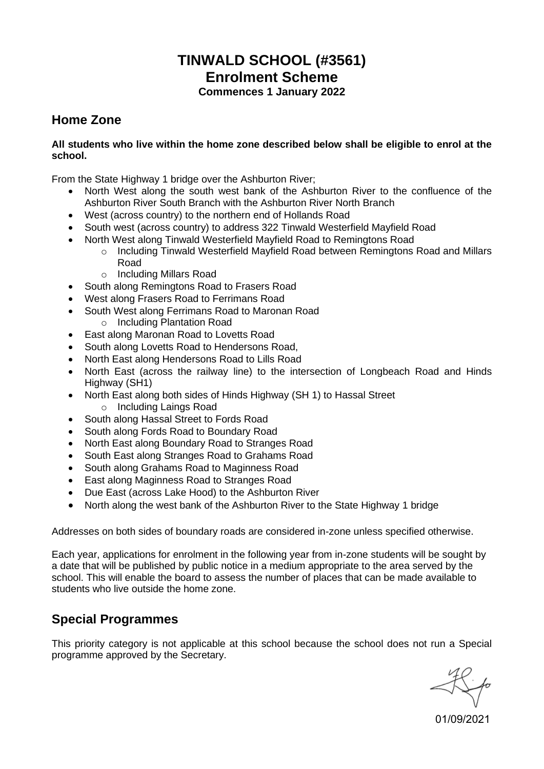# **TINWALD SCHOOL (#3561) Enrolment Scheme Commences 1 January 2022**

### **Home Zone**

#### **All students who live within the home zone described below shall be eligible to enrol at the school.**

From the State Highway 1 bridge over the Ashburton River;

- North West along the south west bank of the Ashburton River to the confluence of the Ashburton River South Branch with the Ashburton River North Branch
- West (across country) to the northern end of Hollands Road
- South west (across country) to address 322 Tinwald Westerfield Mayfield Road
- North West along Tinwald Westerfield Mayfield Road to Remingtons Road
	- o Including Tinwald Westerfield Mayfield Road between Remingtons Road and Millars Road
	- o Including Millars Road
- South along Remingtons Road to Frasers Road
- West along Frasers Road to Ferrimans Road
- South West along Ferrimans Road to Maronan Road
	- o Including Plantation Road
- East along Maronan Road to Lovetts Road
- South along Lovetts Road to Hendersons Road,
- North East along Hendersons Road to Lills Road
- North East (across the railway line) to the intersection of Longbeach Road and Hinds Highway (SH1)
- North East along both sides of Hinds Highway (SH 1) to Hassal Street
	- o Including Laings Road
- South along Hassal Street to Fords Road
- South along Fords Road to Boundary Road
- North East along Boundary Road to Stranges Road
- South East along Stranges Road to Grahams Road
- South along Grahams Road to Maginness Road
- East along Maginness Road to Stranges Road
- Due East (across Lake Hood) to the Ashburton River
- North along the west bank of the Ashburton River to the State Highway 1 bridge

Addresses on both sides of boundary roads are considered in-zone unless specified otherwise.

Each year, applications for enrolment in the following year from in-zone students will be sought by a date that will be published by public notice in a medium appropriate to the area served by the school. This will enable the board to assess the number of places that can be made available to students who live outside the home zone.

### **Special Programmes**

This priority category is not applicable at this school because the school does not run a Special programme approved by the Secretary.

01/09/2021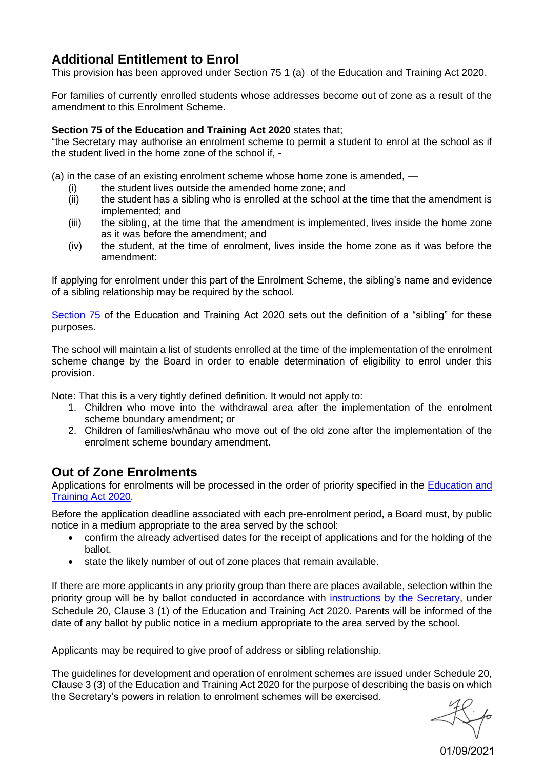# **Additional Entitlement to Enrol**

This provision has been approved under Section 75 1 (a) of the Education and Training Act 2020.

For families of currently enrolled students whose addresses become out of zone as a result of the amendment to this Enrolment Scheme.

#### **Section 75 of the Education and Training Act 2020** states that;

"the Secretary may authorise an enrolment scheme to permit a student to enrol at the school as if the student lived in the home zone of the school if, -

(a) in the case of an existing enrolment scheme whose home zone is amended, —

- (i) the student lives outside the amended home zone; and<br>(ii) the student has a sibling who is enrolled at the school a
- the student has a sibling who is enrolled at the school at the time that the amendment is implemented; and
- (iii) the sibling, at the time that the amendment is implemented, lives inside the home zone as it was before the amendment; and
- (iv) the student, at the time of enrolment, lives inside the home zone as it was before the amendment:

If applying for enrolment under this part of the Enrolment Scheme, the sibling's name and evidence of a sibling relationship may be required by the school.

[Section 75](http://www.legislation.govt.nz/act/public/2020/0038/latest/LMS357071.html) of the Education and Training Act 2020 sets out the definition of a "sibling" for these purposes.

The school will maintain a list of students enrolled at the time of the implementation of the enrolment scheme change by the Board in order to enable determination of eligibility to enrol under this provision.

Note: That this is a very tightly defined definition. It would not apply to:

- 1. Children who move into the withdrawal area after the implementation of the enrolment scheme boundary amendment; or
- 2. Children of families/whānau who move out of the old zone after the implementation of the enrolment scheme boundary amendment.

# **Out of Zone Enrolments**

Applications for enrolments will be processed in the order of priority specified in the [Education and](https://www.legislation.govt.nz/act/public/2020/0038/latest/whole.html#LMS176159)  [Training Act 2020.](https://www.legislation.govt.nz/act/public/2020/0038/latest/whole.html#LMS176159)

Before the application deadline associated with each pre-enrolment period, a Board must, by public notice in a medium appropriate to the area served by the school:

- confirm the already advertised dates for the receipt of applications and for the holding of the ballot.
- state the likely number of out of zone places that remain available.

If there are more applicants in any priority group than there are places available, selection within the priority group will be by ballot conducted in accordance with [instructions by the](https://www.education.govt.nz/assets/Enrolment/Secretarys-Instructions-December-2020.pdf) Secretary, under Schedule 20, Clause 3 (1) of the Education and Training Act 2020. Parents will be informed of the date of any ballot by public notice in a medium appropriate to the area served by the school.

Applicants may be required to give proof of address or sibling relationship.

The guidelines for development and operation of enrolment schemes are issued under Schedule 20, Clause 3 (3) of the Education and Training Act 2020 for the purpose of describing the basis on which the Secretary's powers in relation to enrolment schemes will be exercised.

01/09/2021